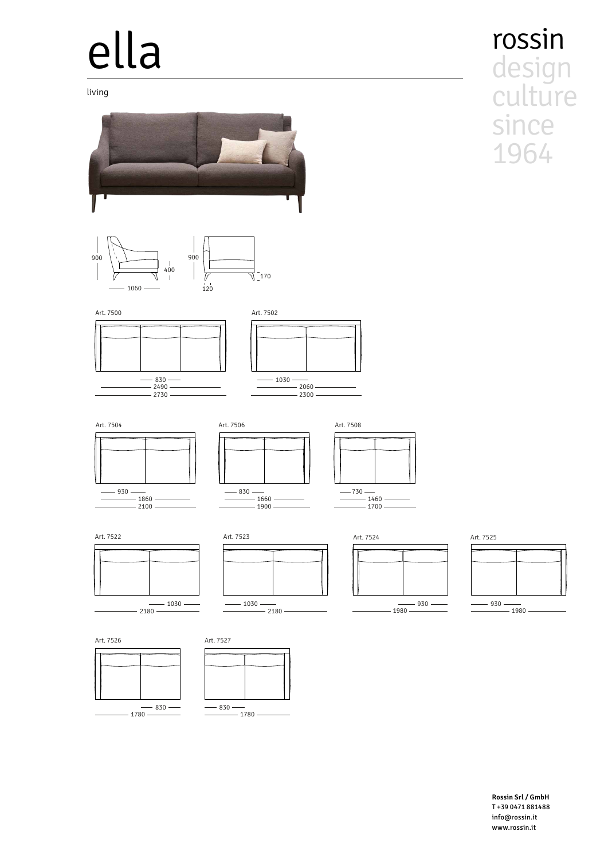# ella

living









Art. 7504



 $- 830 -2490$  $-2730$ 

 $-1860$  $-2100$ 









 $-1660$  $-1900$ 

 $-830 -$ 

 $\frac{1}{2}$ 





 $\frac{1}{2}$  $-1460$  $-1700 -$ 



 $-930 -1980$ 





2180 — — — — — — — 1980 — — — — — 1980 — — — 1980

**Rossin Srl / GmbH** T +39 0471 881488 info@rossin.it www.rossin.it